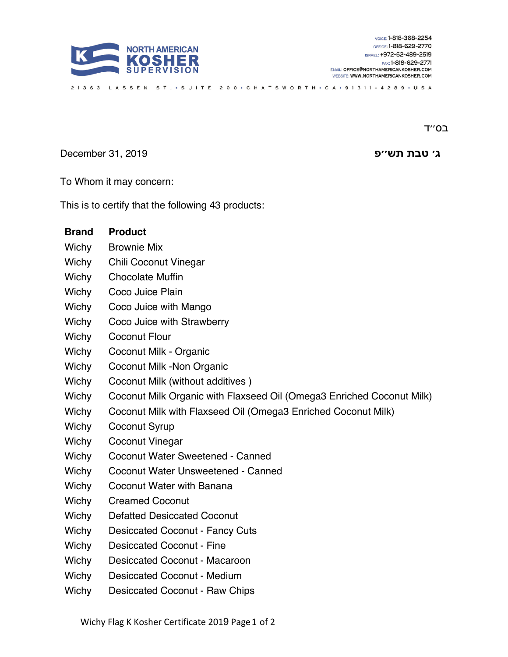

ב0'<sup>'</sup>ד

**׳ג תבט שת פ׳׳** 2019 31, December

To Whom it may concern:

This is to certify that the following 43 products:

| <b>Brand</b> | <b>Product</b>                                                        |
|--------------|-----------------------------------------------------------------------|
| Wichy        | <b>Brownie Mix</b>                                                    |
| Wichy        | <b>Chili Coconut Vinegar</b>                                          |
| Wichy        | <b>Chocolate Muffin</b>                                               |
| Wichy        | Coco Juice Plain                                                      |
| Wichy        | Coco Juice with Mango                                                 |
| Wichy        | Coco Juice with Strawberry                                            |
| Wichy        | <b>Coconut Flour</b>                                                  |
| Wichy        | Coconut Milk - Organic                                                |
| Wichy        | Coconut Milk - Non Organic                                            |
| Wichy        | Coconut Milk (without additives)                                      |
| Wichy        | Coconut Milk Organic with Flaxseed Oil (Omega3 Enriched Coconut Milk) |
| Wichy        | Coconut Milk with Flaxseed Oil (Omega3 Enriched Coconut Milk)         |
| Wichy        | Coconut Syrup                                                         |
| Wichy        | Coconut Vinegar                                                       |
| Wichy        | Coconut Water Sweetened - Canned                                      |
| Wichy        | Coconut Water Unsweetened - Canned                                    |
| Wichy        | Coconut Water with Banana                                             |
| Wichy        | <b>Creamed Coconut</b>                                                |
| Wichy        | <b>Defatted Desiccated Coconut</b>                                    |
| Wichy        | <b>Desiccated Coconut - Fancy Cuts</b>                                |
| Wichy        | <b>Desiccated Coconut - Fine</b>                                      |
| Wichy        | <b>Desiccated Coconut - Macaroon</b>                                  |
| Wichy        | <b>Desiccated Coconut - Medium</b>                                    |
| Wichy        | Desiccated Coconut - Raw Chips                                        |

21363 LASSEN ST. • SUITE 200 • CHATSWORTH • CA • 91311 - 4289 • USA